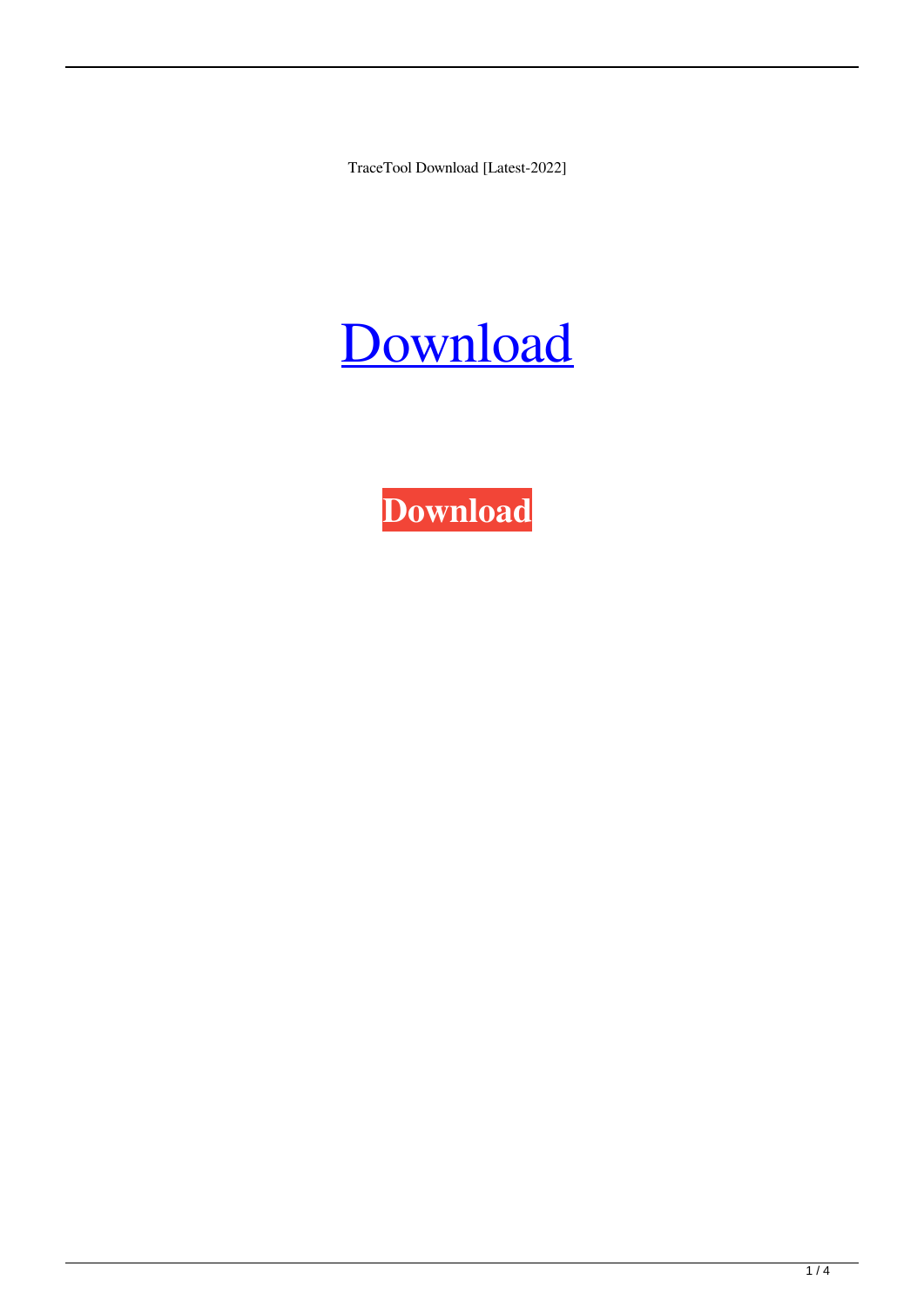TraceTool Download [Latest-2022]



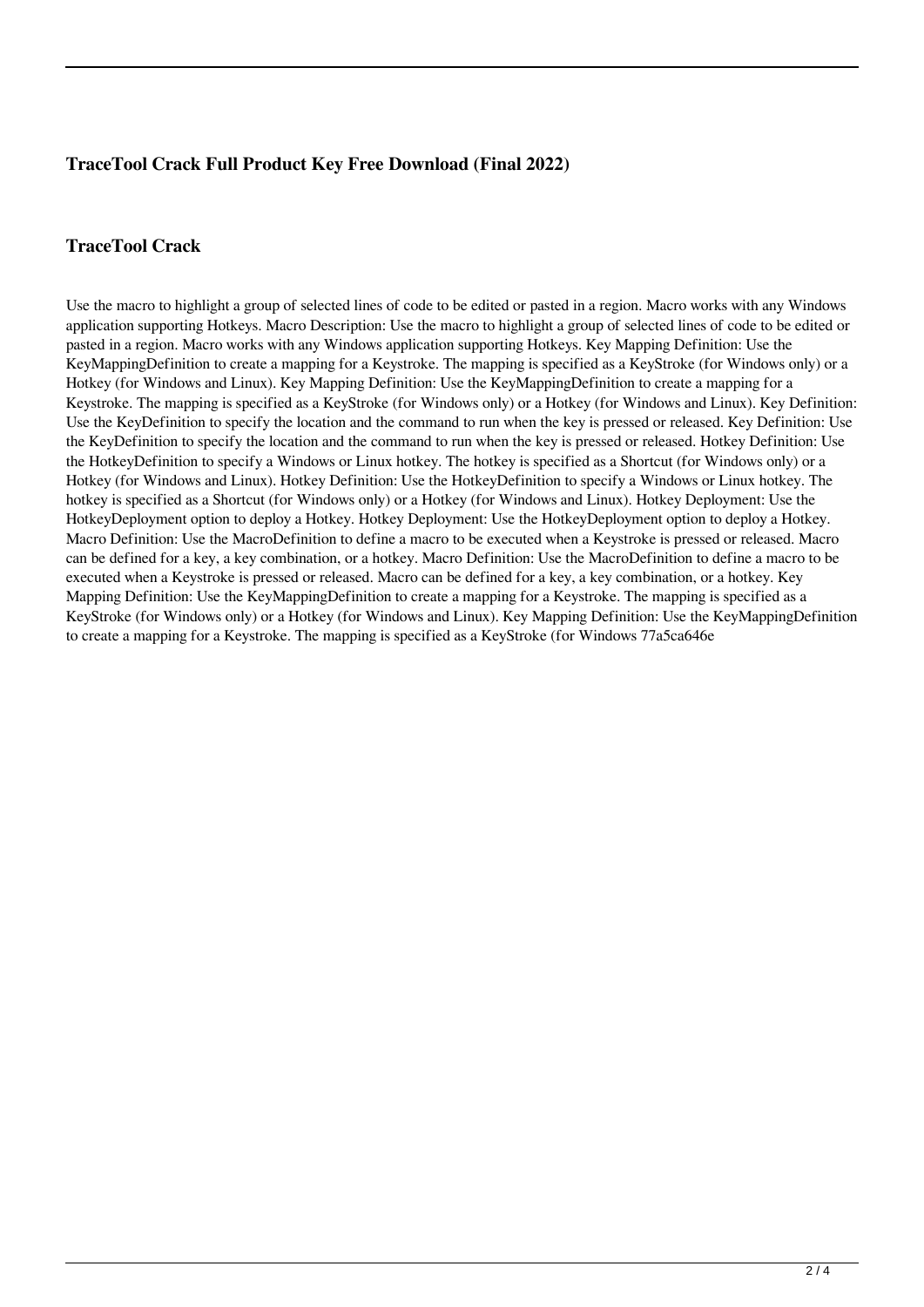# **TraceTool Crack Full Product Key Free Download (Final 2022)**

# **TraceTool Crack**

Use the macro to highlight a group of selected lines of code to be edited or pasted in a region. Macro works with any Windows application supporting Hotkeys. Macro Description: Use the macro to highlight a group of selected lines of code to be edited or pasted in a region. Macro works with any Windows application supporting Hotkeys. Key Mapping Definition: Use the KeyMappingDefinition to create a mapping for a Keystroke. The mapping is specified as a KeyStroke (for Windows only) or a Hotkey (for Windows and Linux). Key Mapping Definition: Use the KeyMappingDefinition to create a mapping for a Keystroke. The mapping is specified as a KeyStroke (for Windows only) or a Hotkey (for Windows and Linux). Key Definition: Use the KeyDefinition to specify the location and the command to run when the key is pressed or released. Key Definition: Use the KeyDefinition to specify the location and the command to run when the key is pressed or released. Hotkey Definition: Use the HotkeyDefinition to specify a Windows or Linux hotkey. The hotkey is specified as a Shortcut (for Windows only) or a Hotkey (for Windows and Linux). Hotkey Definition: Use the HotkeyDefinition to specify a Windows or Linux hotkey. The hotkey is specified as a Shortcut (for Windows only) or a Hotkey (for Windows and Linux). Hotkey Deployment: Use the HotkeyDeployment option to deploy a Hotkey. Hotkey Deployment: Use the HotkeyDeployment option to deploy a Hotkey. Macro Definition: Use the MacroDefinition to define a macro to be executed when a Keystroke is pressed or released. Macro can be defined for a key, a key combination, or a hotkey. Macro Definition: Use the MacroDefinition to define a macro to be executed when a Keystroke is pressed or released. Macro can be defined for a key, a key combination, or a hotkey. Key Mapping Definition: Use the KeyMappingDefinition to create a mapping for a Keystroke. The mapping is specified as a KeyStroke (for Windows only) or a Hotkey (for Windows and Linux). Key Mapping Definition: Use the KeyMappingDefinition to create a mapping for a Keystroke. The mapping is specified as a KeyStroke (for Windows 77a5ca646e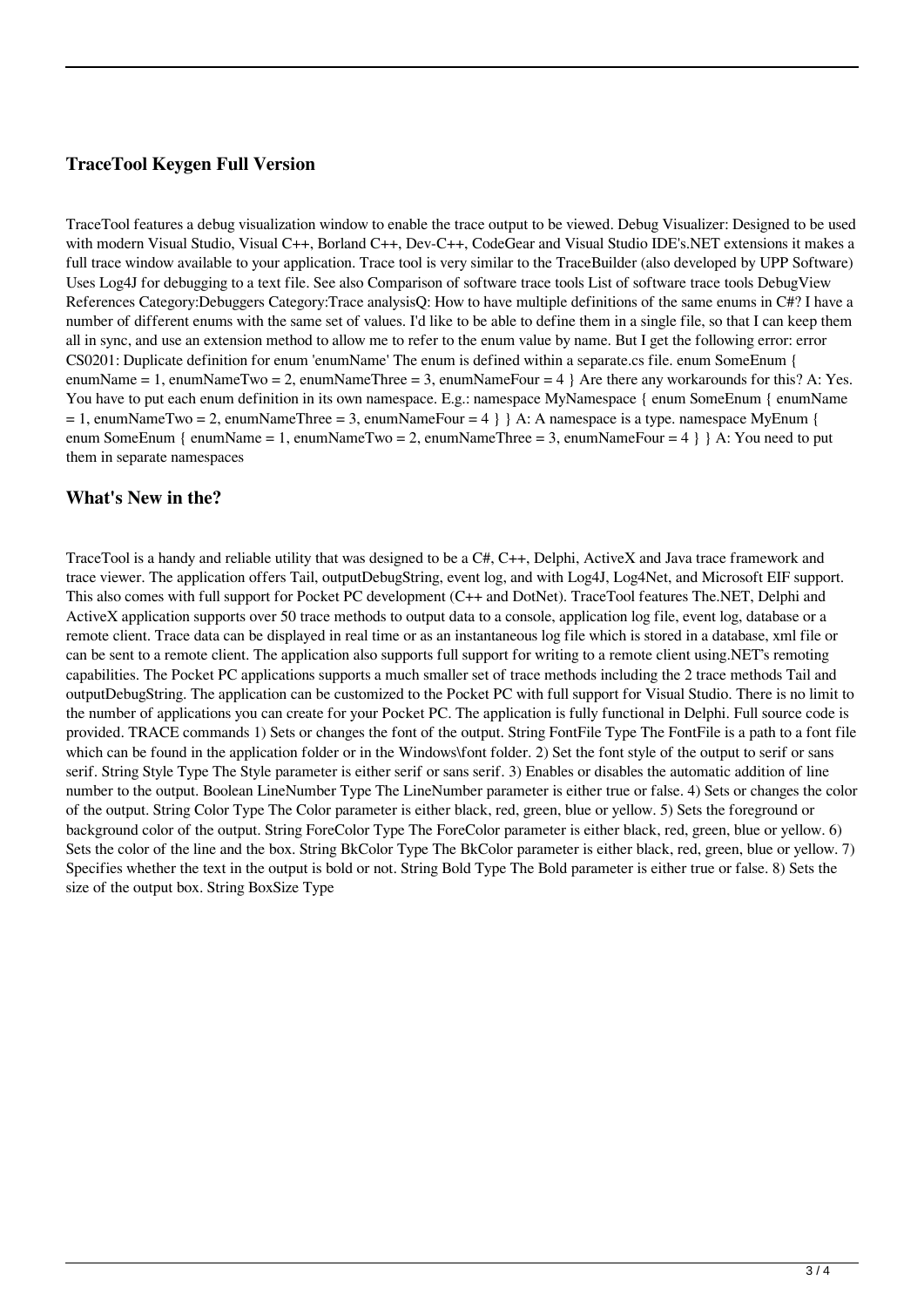### **TraceTool Keygen Full Version**

TraceTool features a debug visualization window to enable the trace output to be viewed. Debug Visualizer: Designed to be used with modern Visual Studio, Visual C++, Borland C++, Dev-C++, CodeGear and Visual Studio IDE's.NET extensions it makes a full trace window available to your application. Trace tool is very similar to the TraceBuilder (also developed by UPP Software) Uses Log4J for debugging to a text file. See also Comparison of software trace tools List of software trace tools DebugView References Category:Debuggers Category:Trace analysisQ: How to have multiple definitions of the same enums in C#? I have a number of different enums with the same set of values. I'd like to be able to define them in a single file, so that I can keep them all in sync, and use an extension method to allow me to refer to the enum value by name. But I get the following error: error CS0201: Duplicate definition for enum 'enumName' The enum is defined within a separate.cs file. enum SomeEnum { enumName = 1, enumNameTwo = 2, enumNameThree = 3, enumNameFour =  $4$  } Are there any workarounds for this? A: Yes. You have to put each enum definition in its own namespace. E.g.: namespace MyNamespace { enum SomeEnum { enumName  $= 1$ , enumNameTwo = 2, enumNameThree = 3, enumNameFour = 4 } A: A namespace is a type. namespace MyEnum { enum SomeEnum { enumName = 1, enumNameTwo = 2, enumNameThree = 3, enumNameFour = 4 } } A: You need to put them in separate namespaces

#### **What's New in the?**

TraceTool is a handy and reliable utility that was designed to be a C#, C++, Delphi, ActiveX and Java trace framework and trace viewer. The application offers Tail, outputDebugString, event log, and with Log4J, Log4Net, and Microsoft EIF support. This also comes with full support for Pocket PC development (C++ and DotNet). TraceTool features The.NET, Delphi and ActiveX application supports over 50 trace methods to output data to a console, application log file, event log, database or a remote client. Trace data can be displayed in real time or as an instantaneous log file which is stored in a database, xml file or can be sent to a remote client. The application also supports full support for writing to a remote client using.NET's remoting capabilities. The Pocket PC applications supports a much smaller set of trace methods including the 2 trace methods Tail and outputDebugString. The application can be customized to the Pocket PC with full support for Visual Studio. There is no limit to the number of applications you can create for your Pocket PC. The application is fully functional in Delphi. Full source code is provided. TRACE commands 1) Sets or changes the font of the output. String FontFile Type The FontFile is a path to a font file which can be found in the application folder or in the Windows\font folder. 2) Set the font style of the output to serif or sans serif. String Style Type The Style parameter is either serif or sans serif. 3) Enables or disables the automatic addition of line number to the output. Boolean LineNumber Type The LineNumber parameter is either true or false. 4) Sets or changes the color of the output. String Color Type The Color parameter is either black, red, green, blue or yellow. 5) Sets the foreground or background color of the output. String ForeColor Type The ForeColor parameter is either black, red, green, blue or yellow. 6) Sets the color of the line and the box. String BkColor Type The BkColor parameter is either black, red, green, blue or yellow. 7) Specifies whether the text in the output is bold or not. String Bold Type The Bold parameter is either true or false. 8) Sets the size of the output box. String BoxSize Type